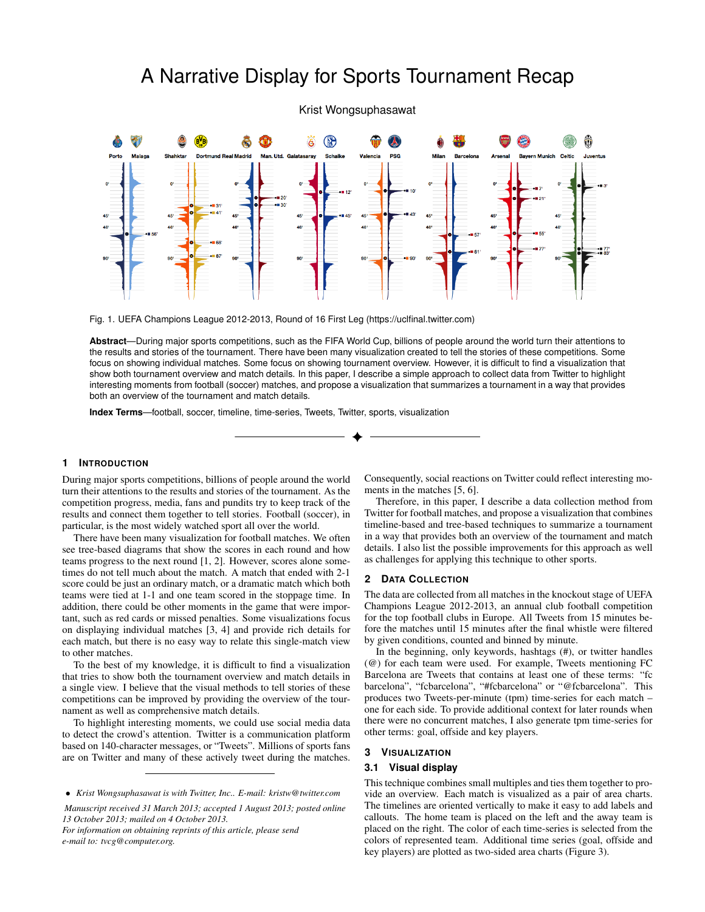# A Narrative Display for Sports Tournament Recap

Krist Wongsuphasawat



<span id="page-0-0"></span>Fig. 1. UEFA Champions League 2012-2013, Round of 16 First Leg (https://uclfinal.twitter.com)

**Abstract**—During major sports competitions, such as the FIFA World Cup, billions of people around the world turn their attentions to the results and stories of the tournament. There have been many visualization created to tell the stories of these competitions. Some focus on showing individual matches. Some focus on showing tournament overview. However, it is difficult to find a visualization that show both tournament overview and match details. In this paper, I describe a simple approach to collect data from Twitter to highlight interesting moments from football (soccer) matches, and propose a visualization that summarizes a tournament in a way that provides both an overview of the tournament and match details.

**Index Terms**—football, soccer, timeline, time-series, Tweets, Twitter, sports, visualization

#### **1 INTRODUCTION**

During major sports competitions, billions of people around the world turn their attentions to the results and stories of the tournament. As the competition progress, media, fans and pundits try to keep track of the results and connect them together to tell stories. Football (soccer), in particular, is the most widely watched sport all over the world.

There have been many visualization for football matches. We often see tree-based diagrams that show the scores in each round and how teams progress to the next round [\[1,](#page-1-0) [2\]](#page-1-1). However, scores alone sometimes do not tell much about the match. A match that ended with 2-1 score could be just an ordinary match, or a dramatic match which both teams were tied at 1-1 and one team scored in the stoppage time. In addition, there could be other moments in the game that were important, such as red cards or missed penalties. Some visualizations focus on displaying individual matches [\[3,](#page-1-2) [4\]](#page-1-3) and provide rich details for each match, but there is no easy way to relate this single-match view to other matches.

To the best of my knowledge, it is difficult to find a visualization that tries to show both the tournament overview and match details in a single view. I believe that the visual methods to tell stories of these competitions can be improved by providing the overview of the tournament as well as comprehensive match details.

To highlight interesting moments, we could use social media data to detect the crowd's attention. Twitter is a communication platform based on 140-character messages, or "Tweets". Millions of sports fans are on Twitter and many of these actively tweet during the matches.

*Manuscript received 31 March 2013; accepted 1 August 2013; posted online 13 October 2013; mailed on 4 October 2013. For information on obtaining reprints of this article, please send*

*e-mail to: tvcg@computer.org.*

Consequently, social reactions on Twitter could reflect interesting moments in the matches [\[5,](#page-1-4) [6\]](#page-1-5).

Therefore, in this paper, I describe a data collection method from Twitter for football matches, and propose a visualization that combines timeline-based and tree-based techniques to summarize a tournament in a way that provides both an overview of the tournament and match details. I also list the possible improvements for this approach as well as challenges for applying this technique to other sports.

#### **2 DATA COLLECTION**

The data are collected from all matches in the knockout stage of UEFA Champions League 2012-2013, an annual club football competition for the top football clubs in Europe. All Tweets from 15 minutes before the matches until 15 minutes after the final whistle were filtered by given conditions, counted and binned by minute.

In the beginning, only keywords, hashtags (#), or twitter handles (@) for each team were used. For example, Tweets mentioning FC Barcelona are Tweets that contains at least one of these terms: "fc barcelona", "fcbarcelona", "#fcbarcelona" or "@fcbarcelona". This produces two Tweets-per-minute (tpm) time-series for each match – one for each side. To provide additional context for later rounds when there were no concurrent matches, I also generate tpm time-series for other terms: goal, offside and key players.

## **3 VISUALIZATION**

### **3.1 Visual display**

This technique combines small multiples and ties them together to provide an overview. Each match is visualized as a pair of area charts. The timelines are oriented vertically to make it easy to add labels and callouts. The home team is placed on the left and the away team is placed on the right. The color of each time-series is selected from the colors of represented team. Additional time series (goal, offside and key players) are plotted as two-sided area charts (Figure [3\)](#page-1-6).

<sup>•</sup> *Krist Wongsuphasawat is with Twitter, Inc.. E-mail: kristw@twitter.com*